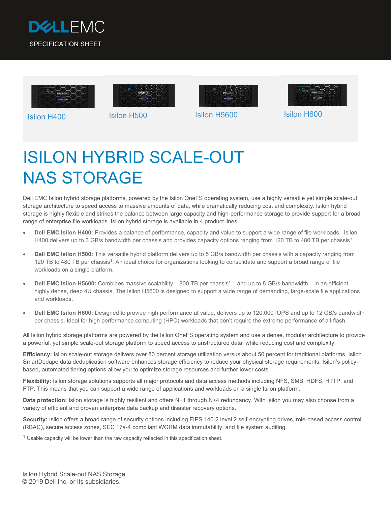









Isilon H400 Isilon H500 Isilon H5600 Isilon H600

# ISILON HYBRID SCALE-OUT NAS STORAGE

Dell EMC Isilon hybrid storage platforms, powered by the Isilon OneFS operating system, use a highly versatile yet simple scale-out storage architecture to speed access to massive amounts of data, while dramatically reducing cost and complexity. Isilon hybrid storage is highly flexible and strikes the balance between large capacity and high-performance storage to provide support for a broad range of enterprise file workloads. Isilon hybrid storage is available in 4 product lines:

- **Dell EMC Isilon H400:** Provides a balance of performance, capacity and value to support a wide range of file workloads. Isilon H400 delivers up to 3 GB/s bandwidth per chassis and provides capacity options ranging from 120 TB to 480 TB per chassis<sup>1</sup>.
- **Dell EMC Isilon H500:** This versatile hybrid platform delivers up to 5 GB/s bandwidth per chassis with a capacity ranging from 120 TB to 480 TB per chassis1. An ideal choice for organizations looking to consolidate and support a broad range of file workloads on a single platform.
- **Dell EMC Isilon H5600:** Combines massive scalability 800 TB per chassis<sup>1</sup> and up to 8 GB/s bandwidth in an efficient, highly dense, deep 4U chassis. The Isilon H5600 is designed to support a wide range of demanding, large-scale file applications and workloads.
- **Dell EMC Isilon H600:** Designed to provide high performance at value, delivers up to 120,000 IOPS and up to 12 GB/s bandwidth per chassis. Ideal for high performance computing (HPC) workloads that don't require the extreme performance of all-flash.

All Isilon hybrid storage platforms are powered by the Isilon OneFS operating system and use a dense, modular architecture to provide a powerful, yet simple scale-out storage platform to speed access to unstructured data, while reducing cost and complexity.

**Efficiency:** Isilon scale-out storage delivers over 80 percent storage utilization versus about 50 percent for traditional platforms. Isilon SmartDedupe data deduplication software enhances storage efficiency to reduce your physical storage requirements. Isilon's policybased, automated tiering options allow you to optimize storage resources and further lower costs.

**Flexibility:** Isilon storage solutions supports all major protocols and data access methods including NFS, SMB, HDFS, HTTP, and FTP. This means that you can support a wide range of applications and workloads on a single Isilon platform.

**Data protection:** Isilon storage is highly resilient and offers N+1 through N+4 redundancy. With Isilon you may also choose from a variety of efficient and proven enterprise data backup and disaster recovery options.

**Security:** Isilon offers a broad range of security options including FIPS 140-2 level 2 self-encrypting drives, role-based access control (RBAC), secure access zones, SEC 17a-4 compliant WORM data immutability, and file system auditing.

 $1$  Usable capacity will be lower than the raw capacity reflected in this specification sheet.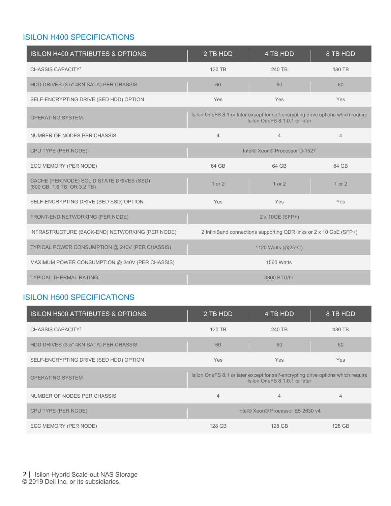## ISILON H400 SPECIFICATIONS

| <b>ISILON H400 ATTRIBUTES &amp; OPTIONS</b>                              | 2 TB HDD       | 4 TB HDD                                                                                                          | 8 TB HDD       |
|--------------------------------------------------------------------------|----------------|-------------------------------------------------------------------------------------------------------------------|----------------|
| CHASSIS CAPACITY <sup>1</sup>                                            | 120 TB         | 240 TB                                                                                                            | 480 TB         |
| HDD DRIVES (3.5" 4KN SATA) PER CHASSIS                                   | 60             | 60                                                                                                                | 60             |
| SELF-ENCRYPTING DRIVE (SED HDD) OPTION                                   | Yes            | Yes                                                                                                               | Yes            |
| <b>OPERATING SYSTEM</b>                                                  |                | Isilon OneFS 8.1 or later except for self-encrypting drive options which require<br>Isilon OneFS 8.1.0.1 or later |                |
| NUMBER OF NODES PER CHASSIS                                              | $\overline{4}$ | $\overline{4}$                                                                                                    | $\overline{4}$ |
| CPU TYPE (PER NODE)                                                      |                | Intel® Xeon® Processor D-1527                                                                                     |                |
| ECC MEMORY (PER NODE)                                                    | 64 GB          | 64 GB                                                                                                             | 64 GB          |
| CACHE (PER NODE) SOLID STATE DRIVES (SSD)<br>(800 GB, 1.6 TB, OR 3.2 TB) | $1$ or $2$     | $1$ or $2$                                                                                                        | $1$ or $2$     |
| SELF-ENCRYPTING DRIVE (SED SSD) OPTION                                   | Yes            | Yes                                                                                                               | Yes            |
| FRONT-END NETWORKING (PER NODE)                                          |                | 2 x 10GE (SFP+)                                                                                                   |                |
| INFRASTRUCTURE (BACK-END) NETWORKING (PER NODE)                          |                | 2 InfiniBand connections supporting QDR links or 2 x 10 GbE (SFP+)                                                |                |
| TYPICAL POWER CONSUMPTION @ 240V (PER CHASSIS)                           |                | 1120 Watts (@25°C)                                                                                                |                |
| MAXIMUM POWER CONSUMPTION @ 240V (PER CHASSIS)                           |                | <b>1560 Watts</b>                                                                                                 |                |
| <b>TYPICAL THERMAL RATING</b>                                            |                | 3800 BTU/hr                                                                                                       |                |

## ISILON H500 SPECIFICATIONS

| <b>ISILON H500 ATTRIBUTES &amp; OPTIONS</b> | 2 TB HDD   | 4 TB HDD                                                                                                          | 8 TB HDD   |
|---------------------------------------------|------------|-------------------------------------------------------------------------------------------------------------------|------------|
| CHASSIS CAPACITY <sup>1</sup>               | 120 TB     | 240 TB                                                                                                            | 480 TB     |
| HDD DRIVES (3.5" 4KN SATA) PER CHASSIS      | 60         | 60                                                                                                                | 60         |
| SELF-ENCRYPTING DRIVE (SED HDD) OPTION      | <b>Yes</b> | <b>Yes</b>                                                                                                        | <b>Yes</b> |
| <b>OPERATING SYSTEM</b>                     |            | Isilon OneFS 8.1 or later except for self-encrypting drive options which require<br>Isilon OneFS 8.1.0.1 or later |            |
| NUMBER OF NODES PER CHASSIS                 | 4          | $\overline{4}$                                                                                                    | 4          |
| CPU TYPE (PER NODE)                         |            | Intel® Xeon® Processor E5-2630 v4                                                                                 |            |
| ECC MEMORY (PER NODE)                       | 128 GB     | 128 GB                                                                                                            | 128 GB     |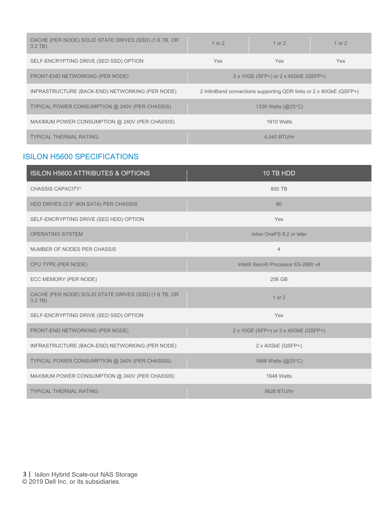| CACHE (PER NODE) SOLID STATE DRIVES (SSD) (1.6 TB, OR<br>$3.2$ TB) | $1$ or $2$                                                         | 1 or $2$                                         | $1$ or $2$ |
|--------------------------------------------------------------------|--------------------------------------------------------------------|--------------------------------------------------|------------|
| SELF-ENCRYPTING DRIVE (SED SSD) OPTION                             | Yes                                                                | <b>Yes</b>                                       | <b>Yes</b> |
| FRONT-END NETWORKING (PER NODE)                                    | $2 \times 10GE$ (SFP+) or $2 \times 40GB$ (QSFP+)                  |                                                  |            |
| INFRASTRUCTURE (BACK-END) NETWORKING (PER NODE)                    | 2 InfiniBand connections supporting QDR links or 2 x 40GbE (QSFP+) |                                                  |            |
| TYPICAL POWER CONSUMPTION @ 240V (PER CHASSIS)                     |                                                                    | 1330 Watts $(\textcircled{a}25^{\circ}\text{C})$ |            |
| MAXIMUM POWER CONSUMPTION @ 240V (PER CHASSIS)                     | 1910 Watts                                                         |                                                  |            |
| <b>TYPICAL THERMAL RATING</b>                                      |                                                                    | 4.540 BTU/hr                                     |            |

## ISILON H5600 SPECIFICATIONS

| ISILON H5600 ATTRIBUTES & OPTIONS                                  | 10 TB HDD                            |
|--------------------------------------------------------------------|--------------------------------------|
| CHASSIS CAPACITY <sup>1</sup>                                      | 800 TB                               |
| HDD DRIVES (3.5" 4KN SATA) PER CHASSIS                             | 80                                   |
| SELF-ENCRYPTING DRIVE (SED HDD) OPTION                             | Yes                                  |
| <b>OPERATING SYSTEM</b>                                            | Isilon OneFS 8.2 or later            |
| NUMBER OF NODES PER CHASSIS                                        | $\overline{4}$                       |
| CPU TYPE (PER NODE)                                                | Intel® Xeon® Processor E5-2680 v4    |
| ECC MEMORY (PER NODE)                                              | 256 GB                               |
| CACHE (PER NODE) SOLID STATE DRIVES (SSD) (1.6 TB, OR<br>$3.2$ TB) | $1$ or $2$                           |
| SELF-ENCRYPTING DRIVE (SED SSD) OPTION                             | Yes                                  |
| FRONT-END NETWORKING (PER NODE)                                    | 2 x 10GE (SFP+) or 2 x 40GbE (QSFP+) |
| INFRASTRUCTURE (BACK-END) NETWORKING (PER NODE)                    | $2 \times 40$ GbE (QSFP+)            |
| TYPICAL POWER CONSUMPTION @ 240V (PER CHASSIS)                     | 1668 Watts $(Q25^{\circ}C)$          |
| MAXIMUM POWER CONSUMPTION @ 240V (PER CHASSIS)                     | 1948 Watts                           |
| <b>TYPICAL THERMAL RATING</b>                                      | 5628 BTU/hr                          |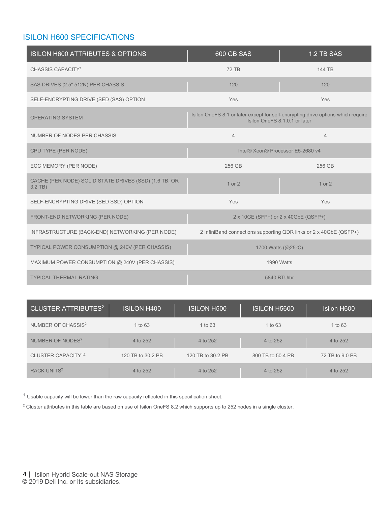## ISILON H600 SPECIFICATIONS

| <b>ISILON H600 ATTRIBUTES &amp; OPTIONS</b>                        | 600 GB SAS                        | 1.2 TB SAS                                                                                                        |
|--------------------------------------------------------------------|-----------------------------------|-------------------------------------------------------------------------------------------------------------------|
| CHASSIS CAPACITY <sup>1</sup>                                      | <b>72 TB</b>                      | 144 TB                                                                                                            |
| SAS DRIVES (2.5" 512N) PER CHASSIS                                 | 120                               | 120                                                                                                               |
| SELF-ENCRYPTING DRIVE (SED (SAS) OPTION                            | Yes                               | Yes                                                                                                               |
| <b>OPERATING SYSTEM</b>                                            |                                   | Isilon OneFS 8.1 or later except for self-encrypting drive options which require<br>Isilon OneFS 8.1.0.1 or later |
| NUMBER OF NODES PER CHASSIS                                        | $\overline{4}$                    | $\overline{4}$                                                                                                    |
| CPU TYPE (PER NODE)                                                | Intel® Xeon® Processor E5-2680 v4 |                                                                                                                   |
| ECC MEMORY (PER NODE)                                              | 256 GB                            | 256 GB                                                                                                            |
| CACHE (PER NODE) SOLID STATE DRIVES (SSD) (1.6 TB, OR<br>$3.2$ TB) | 1 or 2                            | $1$ or $2$                                                                                                        |
| SELF-ENCRYPTING DRIVE (SED SSD) OPTION                             | Yes                               | Yes                                                                                                               |
| FRONT-END NETWORKING (PER NODE)                                    |                                   | 2 x 10GE (SFP+) or 2 x 40GbE (QSFP+)                                                                              |
| INFRASTRUCTURE (BACK-END) NETWORKING (PER NODE)                    |                                   | 2 InfiniBand connections supporting QDR links or 2 x 40GbE (QSFP+)                                                |
| TYPICAL POWER CONSUMPTION @ 240V (PER CHASSIS)                     |                                   | 1700 Watts (@25°C)                                                                                                |
| MAXIMUM POWER CONSUMPTION @ 240V (PER CHASSIS)                     |                                   | 1990 Watts                                                                                                        |
| <b>TYPICAL THERMAL RATING</b>                                      |                                   | 5840 BTU/hr                                                                                                       |

| <b>CLUSTER ATTRIBUTES<sup>2</sup></b> | <b>ISILON H400</b> | <b>ISILON H500</b> | <b>ISILON H5600</b> | <b>Isilon H600</b> |
|---------------------------------------|--------------------|--------------------|---------------------|--------------------|
| NUMBER OF CHASSIS <sup>2</sup>        | 1 to 63            | 1 to 63            | 1 to 63             | 1 to 63            |
| NUMBER OF NODES <sup>2</sup>          | 4 to 252           | 4 to 252           | 4 to 252            | 4 to 252           |
| CLUSTER CAPACITY <sup>1,2</sup>       | 120 TB to 30.2 PB  | 120 TB to 30.2 PB  | 800 TB to 50.4 PB   | 72 TB to 9.0 PB    |
| RACK UNITS <sup>2</sup>               | 4 to 252           | 4 to 252           | 4 to 252            | 4 to 252           |

 $1$  Usable capacity will be lower than the raw capacity reflected in this specification sheet.

<sup>2</sup> Cluster attributes in this table are based on use of Isilon OneFS 8.2 which supports up to 252 nodes in a single cluster.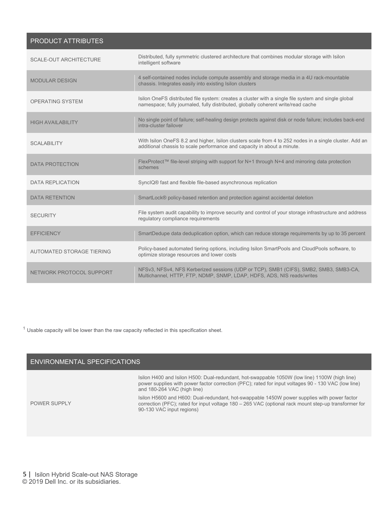#### PRODUCT ATTRIBUTES

| <b>SCALE-OUT ARCHITECTURE</b> | Distributed, fully symmetric clustered architecture that combines modular storage with Isilon<br>intelligent software                                                                    |
|-------------------------------|------------------------------------------------------------------------------------------------------------------------------------------------------------------------------------------|
| <b>MODULAR DESIGN</b>         | 4 self-contained nodes include compute assembly and storage media in a 4U rack-mountable<br>chassis. Integrates easily into existing Isilon clusters                                     |
| <b>OPERATING SYSTEM</b>       | Isilon OneFS distributed file system: creates a cluster with a single file system and single global<br>namespace; fully journaled, fully distributed, globally coherent write/read cache |
| <b>HIGH AVAILABILITY</b>      | No single point of failure; self-healing design protects against disk or node failure; includes back-end<br>intra-cluster failover                                                       |
| <b>SCALABILITY</b>            | With Isilon OneFS 8.2 and higher, Isilon clusters scale from 4 to 252 nodes in a single cluster. Add an<br>additional chassis to scale performance and capacity in about a minute.       |
| <b>DATA PROTECTION</b>        | FlexProtect™ file-level striping with support for N+1 through N+4 and mirroring data protection<br>schemes                                                                               |
| <b>DATA REPLICATION</b>       | SyncIQ® fast and flexible file-based asynchronous replication                                                                                                                            |
| <b>DATA RETENTION</b>         | SmartLock® policy-based retention and protection against accidental deletion                                                                                                             |
| <b>SECURITY</b>               | File system audit capability to improve security and control of your storage infrastructure and address<br>requlatory compliance requirements                                            |
| <b>EFFICIENCY</b>             | SmartDedupe data deduplication option, which can reduce storage requirements by up to 35 percent                                                                                         |
| AUTOMATED STORAGE TIERING     | Policy-based automated tiering options, including Isilon SmartPools and CloudPools software, to<br>optimize storage resources and lower costs                                            |
| NETWORK PROTOCOL SUPPORT      | NFSv3, NFSv4, NFS Kerberized sessions (UDP or TCP), SMB1 (CIFS), SMB2, SMB3, SMB3-CA,<br>Multichannel, HTTP, FTP, NDMP, SNMP, LDAP, HDFS, ADS, NIS reads/writes                          |

 $1$  Usable capacity will be lower than the raw capacity reflected in this specification sheet.

#### ENVIRONMENTAL SPECIFICATIONS

Isilon H400 and Isilon H500: Dual-redundant, hot-swappable 1050W (low line) 1100W (high line) power supplies with power factor correction (PFC); rated for input voltages 90 - 130 VAC (low line) and 180-264 VAC (high line)

POWER SUPPLY

Isilon H5600 and H600: Dual-redundant, hot-swappable 1450W power supplies with power factor correction (PFC); rated for input voltage 180 – 265 VAC (optional rack mount step-up transformer for 90-130 VAC input regions)